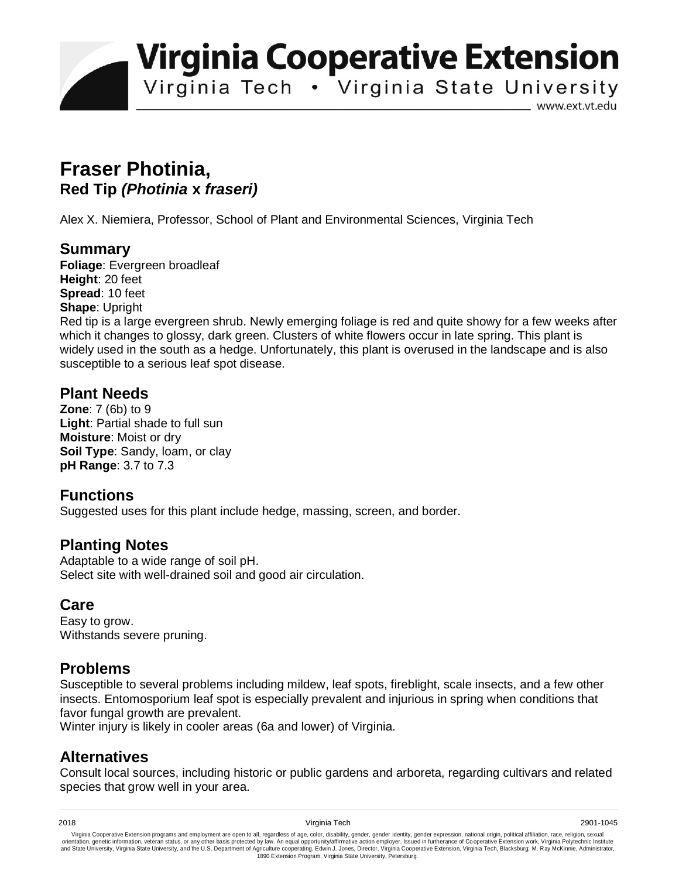**Virginia Cooperative Extension** 

Virginia Tech • Virginia State University

www.ext.vt.edu

# **Fraser Photinia, Red Tip** *(Photinia* **x** *fraseri)*

Alex X. Niemiera, Professor, School of Plant and Environmental Sciences, Virginia Tech

### **Summary**

**Foliage**: Evergreen broadleaf **Height**: 20 feet **Spread**: 10 feet **Shape**: Upright

Red tip is a large evergreen shrub. Newly emerging foliage is red and quite showy for a few weeks after which it changes to glossy, dark green. Clusters of white flowers occur in late spring. This plant is widely used in the south as a hedge. Unfortunately, this plant is overused in the landscape and is also susceptible to a serious leaf spot disease.

### **Plant Needs**

**Zone**: 7 (6b) to 9 **Light**: Partial shade to full sun **Moisture**: Moist or dry **Soil Type**: Sandy, loam, or clay **pH Range**: 3.7 to 7.3

### **Functions**

Suggested uses for this plant include hedge, massing, screen, and border.

### **Planting Notes**

Adaptable to a wide range of soil pH. Select site with well-drained soil and good air circulation.

### **Care**

Easy to grow. Withstands severe pruning.

## **Problems**

Susceptible to several problems including mildew, leaf spots, fireblight, scale insects, and a few other insects. Entomosporium leaf spot is especially prevalent and injurious in spring when conditions that favor fungal growth are prevalent.

Winter injury is likely in cooler areas (6a and lower) of Virginia.

## **Alternatives**

Consult local sources, including historic or public gardens and arboreta, regarding cultivars and related species that grow well in your area.

Virginia Cooperative Extension programs and employment are open to all, regardless of age, color, disability, gender, gender identity, gender expression, national origin, political affiliation, race, religion, sexual وrie 1890 Extension Program, Virginia State University, Petersburg.